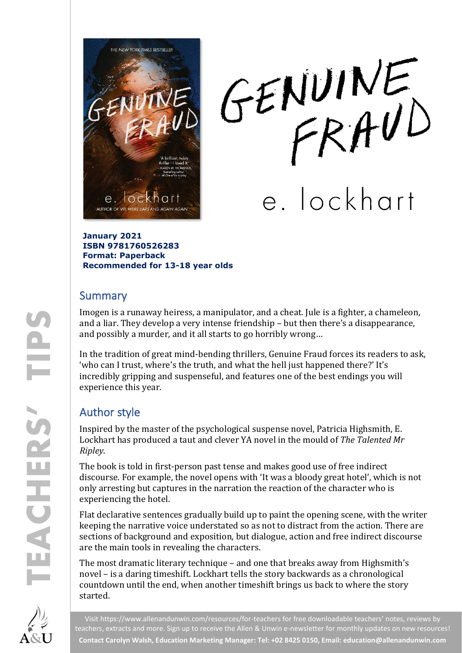

GENUINE

e. lockhart

**January 2021 ISBN 9781760526283 Format: Paperback Recommended for 13-18 year olds**

#### **Summary**

Imogen is a runaway heiress, a manipulator, and a cheat. Jule is a fighter, a chameleon, and a liar. They develop a very intense friendship – but then there's a disappearance, and possibly a murder, and it all starts to go horribly wrong…

In the tradition of great mind-bending thrillers, Genuine Fraud forces its readers to ask, 'who can I trust, where's the truth, and what the hell just happened there?' It's incredibly gripping and suspenseful, and features one of the best endings you will experience this year.

## Author style

Inspired by the master of the psychological suspense novel, Patricia Highsmith, E. Lockhart has produced a taut and clever YA novel in the mould of *The Talented Mr Ripley*.

The book is told in first-person past tense and makes good use of free indirect discourse. For example, the novel opens with 'It was a bloody great hotel', which is not only arresting but captures in the narration the reaction of the character who is experiencing the hotel.

Flat declarative sentences gradually build up to paint the opening scene, with the writer keeping the narrative voice understated so as not to distract from the action. There are sections of background and exposition, but dialogue, action and free indirect discourse are the main tools in revealing the characters.

The most dramatic literary technique – and one that breaks away from Highsmith's novel – is a daring timeshift. Lockhart tells the story backwards as a chronological countdown until the end, when another timeshift brings us back to where the story started.



Visit<https://www.allenandunwin.com/resources/for-teachers> for free downloadable teachers' notes, reviews by teachers, extracts and more. Sign up to receive the Allen & Unwin e-newsletter for monthly updates on new resources! **Contact Carolyn Walsh, Education Marketing Manager: Tel: +02 8425 0150, Email[: education@allenandunwin.com](mailto:education@allenandunwin.com)**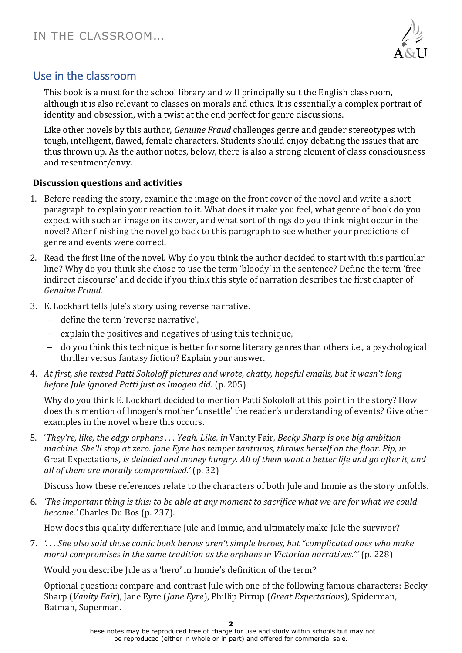

## Use in the classroom

This book is a must for the school library and will principally suit the English classroom, although it is also relevant to classes on morals and ethics. It is essentially a complex portrait of identity and obsession, with a twist at the end perfect for genre discussions.

Like other novels by this author, *Genuine Fraud* challenges genre and gender stereotypes with tough, intelligent, flawed, female characters. Students should enjoy debating the issues that are thus thrown up. As the author notes, below, there is also a strong element of class consciousness and resentment/envy.

#### **Discussion questions and activities**

- 1. Before reading the story, examine the image on the front cover of the novel and write a short paragraph to explain your reaction to it. What does it make you feel, what genre of book do you expect with such an image on its cover, and what sort of things do you think might occur in the novel? After finishing the novel go back to this paragraph to see whether your predictions of genre and events were correct.
- 2. Read the first line of the novel. Why do you think the author decided to start with this particular line? Why do you think she chose to use the term 'bloody' in the sentence? Define the term 'free indirect discourse' and decide if you think this style of narration describes the first chapter of *Genuine Fraud.*
- 3. E. Lockhart tells Jule's story using reverse narrative.
	- − define the term 'reverse narrative',
	- − explain the positives and negatives of using this technique,
	- − do you think this technique is better for some literary genres than others i.e., a psychological thriller versus fantasy fiction? Explain your answer.
- 4. *At first, she texted Patti Sokoloff pictures and wrote, chatty, hopeful emails, but it wasn't long before Jule ignored Patti just as Imogen did.* (p. 205)

Why do you think E. Lockhart decided to mention Patti Sokoloff at this point in the story? How does this mention of Imogen's mother 'unsettle' the reader's understanding of events? Give other examples in the novel where this occurs.

5. '*They're, like, the edgy orphans . . . Yeah. Like, in* Vanity Fair*, Becky Sharp is one big ambition machine. She'll stop at zero. Jane Eyre has temper tantrums, throws herself on the floor. Pip, in*  Great Expectations*, is deluded and money hungry. All of them want a better life and go after it, and all of them are morally compromised.'* (p. 32)

Discuss how these references relate to the characters of both Jule and Immie as the story unfolds.

6. *'The important thing is this: to be able at any moment to sacrifice what we are for what we could become.'* Charles Du Bos (p. 237).

How does this quality differentiate Jule and Immie, and ultimately make Jule the survivor?

7. *'. . . She also said those comic book heroes aren't simple heroes, but "complicated ones who make moral compromises in the same tradition as the orphans in Victorian narratives."'* (p. 228)

Would you describe Jule as a 'hero' in Immie's definition of the term?

Optional question: compare and contrast Jule with one of the following famous characters: Becky Sharp (*Vanity Fair*), Jane Eyre (*Jane Eyre*), Phillip Pirrup (*Great Expectations*), Spiderman, Batman, Superman.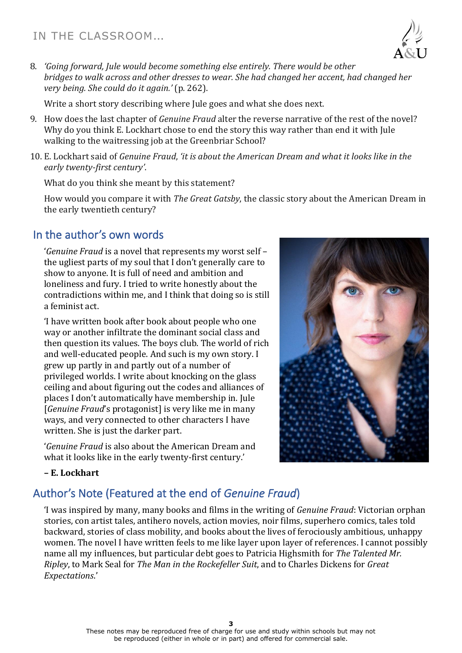

8. *'Going forward, Jule would become something else entirely. There would be other bridges to walk across and other dresses to wear. She had changed her accent, had changed her very being. She could do it again.'* (p. 262).

Write a short story describing where Jule goes and what she does next.

- 9. How does the last chapter of *Genuine Fraud* alter the reverse narrative of the rest of the novel? Why do you think E. Lockhart chose to end the story this way rather than end it with Jule walking to the waitressing job at the Greenbriar School?
- 10. E. Lockhart said of *Genuine Fraud*, *'it is about the American Dream and what it looks like in the early twenty-first century'*.

What do you think she meant by this statement?

How would you compare it with *The Great Gatsby*, the classic story about the American Dream in the early twentieth century?

## In the author's own words

'*Genuine Fraud* is a novel that represents my worst self – the ugliest parts of my soul that I don't generally care to show to anyone. It is full of need and ambition and loneliness and fury. I tried to write honestly about the contradictions within me, and I think that doing so is still a feminist act.

'I have written book after book about people who one way or another infiltrate the dominant social class and then question its values. The boys club. The world of rich and well-educated people. And such is my own story. I grew up partly in and partly out of a number of privileged worlds. I write about knocking on the glass ceiling and about figuring out the codes and alliances of places I don't automatically have membership in. Jule [*Genuine Fraud*'s protagonist] is very like me in many ways, and very connected to other characters I have written. She is just the darker part.

'*Genuine Fraud* is also about the American Dream and what it looks like in the early twenty-first century.'



#### **– E. Lockhart**

# Author's Note (Featured at the end of *Genuine Fraud*)

'I was inspired by many, many books and films in the writing of *Genuine Fraud*: Victorian orphan stories, con artist tales, antihero novels, action movies, noir films, superhero comics, tales told backward, stories of class mobility, and books about the lives of ferociously ambitious, unhappy women. The novel I have written feels to me like layer upon layer of references. I cannot possibly name all my influences, but particular debt goes to Patricia Highsmith for *The Talented Mr. Ripley*, to Mark Seal for *The Man in the Rockefeller Suit*, and to Charles Dickens for *Great Expectations*.'